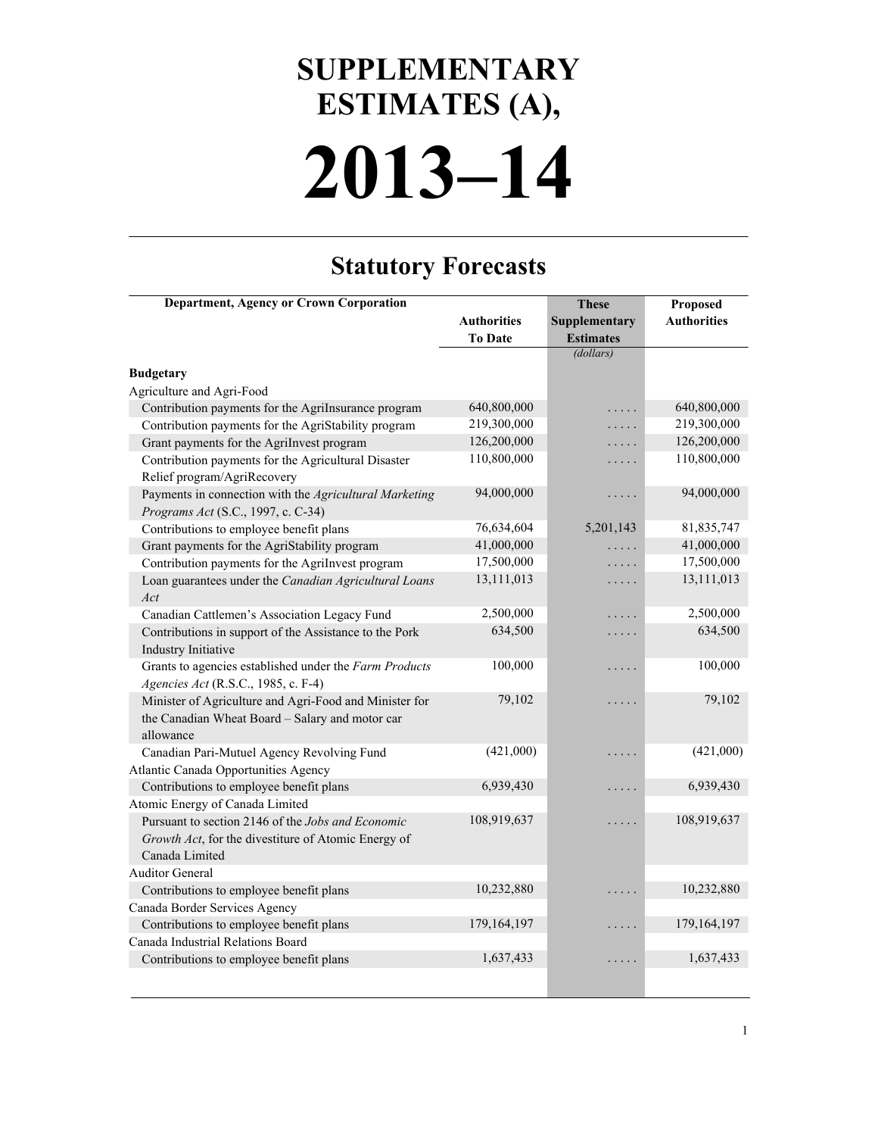## **2013–14 SUPPLEMENTARY ESTIMATES (A),**

## **Statutory Forecasts**

| <b>Department, Agency or Crown Corporation</b>         |                    | <b>These</b>     | Proposed           |
|--------------------------------------------------------|--------------------|------------------|--------------------|
|                                                        | <b>Authorities</b> | Supplementary    | <b>Authorities</b> |
|                                                        | <b>To Date</b>     | <b>Estimates</b> |                    |
|                                                        |                    | (dollars)        |                    |
| <b>Budgetary</b>                                       |                    |                  |                    |
| Agriculture and Agri-Food                              |                    |                  |                    |
| Contribution payments for the AgriInsurance program    | 640,800,000        | .                | 640,800,000        |
| Contribution payments for the AgriStability program    | 219,300,000        | .                | 219,300,000        |
| Grant payments for the AgriInvest program              | 126,200,000        | .                | 126,200,000        |
| Contribution payments for the Agricultural Disaster    | 110,800,000        | .                | 110,800,000        |
| Relief program/AgriRecovery                            |                    |                  |                    |
| Payments in connection with the Agricultural Marketing | 94,000,000         | .                | 94,000,000         |
| Programs Act (S.C., 1997, c. C-34)                     |                    |                  |                    |
| Contributions to employee benefit plans                | 76,634,604         | 5,201,143        | 81,835,747         |
| Grant payments for the AgriStability program           | 41,000,000         |                  | 41,000,000         |
| Contribution payments for the AgriInvest program       | 17,500,000         | .                | 17,500,000         |
| Loan guarantees under the Canadian Agricultural Loans  | 13,111,013         | .                | 13,111,013         |
| Act                                                    |                    |                  |                    |
| Canadian Cattlemen's Association Legacy Fund           | 2,500,000          | .                | 2,500,000          |
| Contributions in support of the Assistance to the Pork | 634,500            | .                | 634,500            |
| Industry Initiative                                    |                    |                  |                    |
| Grants to agencies established under the Farm Products | 100,000            | .                | 100,000            |
| Agencies Act (R.S.C., 1985, c. F-4)                    |                    |                  |                    |
| Minister of Agriculture and Agri-Food and Minister for | 79,102             | .                | 79,102             |
| the Canadian Wheat Board - Salary and motor car        |                    |                  |                    |
| allowance                                              |                    |                  |                    |
| Canadian Pari-Mutuel Agency Revolving Fund             | (421,000)          | .                | (421,000)          |
| Atlantic Canada Opportunities Agency                   |                    |                  |                    |
| Contributions to employee benefit plans                | 6,939,430          | .                | 6,939,430          |
| Atomic Energy of Canada Limited                        |                    |                  |                    |
| Pursuant to section 2146 of the Jobs and Economic      | 108,919,637        | .                | 108,919,637        |
| Growth Act, for the divestiture of Atomic Energy of    |                    |                  |                    |
| Canada Limited                                         |                    |                  |                    |
| <b>Auditor General</b>                                 |                    |                  |                    |
| Contributions to employee benefit plans                | 10,232,880         |                  | 10,232,880         |
| Canada Border Services Agency                          |                    |                  |                    |
| Contributions to employee benefit plans                | 179,164,197        | .                | 179,164,197        |
| Canada Industrial Relations Board                      |                    |                  |                    |
| Contributions to employee benefit plans                | 1,637,433          | .                | 1,637,433          |
|                                                        |                    |                  |                    |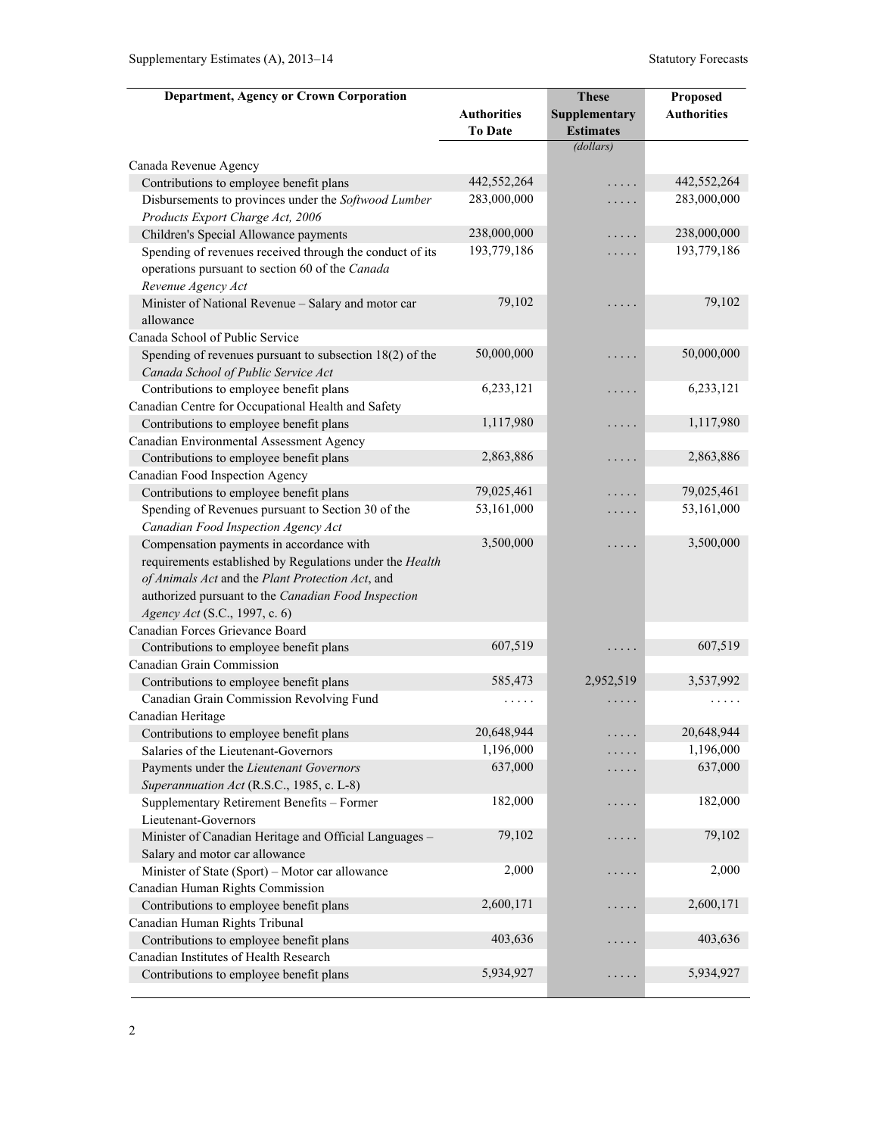| Department, Agency or Crown Corporation                  |                    | <b>These</b>     | Proposed           |
|----------------------------------------------------------|--------------------|------------------|--------------------|
|                                                          | <b>Authorities</b> | Supplementary    | <b>Authorities</b> |
|                                                          | <b>To Date</b>     | <b>Estimates</b> |                    |
|                                                          |                    | (dollars)        |                    |
| Canada Revenue Agency                                    |                    |                  |                    |
| Contributions to employee benefit plans                  | 442,552,264        | .                | 442,552,264        |
| Disbursements to provinces under the Softwood Lumber     | 283,000,000        | .                | 283,000,000        |
| Products Export Charge Act, 2006                         |                    |                  |                    |
| Children's Special Allowance payments                    | 238,000,000        | .                | 238,000,000        |
| Spending of revenues received through the conduct of its | 193,779,186        | .                | 193,779,186        |
| operations pursuant to section 60 of the Canada          |                    |                  |                    |
| Revenue Agency Act                                       |                    |                  |                    |
| Minister of National Revenue - Salary and motor car      | 79,102             | .                | 79,102             |
| allowance                                                |                    |                  |                    |
| Canada School of Public Service                          |                    |                  |                    |
| Spending of revenues pursuant to subsection 18(2) of the | 50,000,000         | .                | 50,000,000         |
| Canada School of Public Service Act                      |                    |                  |                    |
| Contributions to employee benefit plans                  | 6,233,121          | .                | 6,233,121          |
| Canadian Centre for Occupational Health and Safety       |                    |                  |                    |
| Contributions to employee benefit plans                  | 1,117,980          | .                | 1,117,980          |
| Canadian Environmental Assessment Agency                 |                    |                  |                    |
| Contributions to employee benefit plans                  | 2,863,886          | .                | 2,863,886          |
| Canadian Food Inspection Agency                          |                    |                  |                    |
| Contributions to employee benefit plans                  | 79,025,461         | .                | 79,025,461         |
| Spending of Revenues pursuant to Section 30 of the       | 53,161,000         | .                | 53,161,000         |
| Canadian Food Inspection Agency Act                      |                    |                  |                    |
| Compensation payments in accordance with                 | 3,500,000          | .                | 3,500,000          |
| requirements established by Regulations under the Health |                    |                  |                    |
| of Animals Act and the Plant Protection Act, and         |                    |                  |                    |
| authorized pursuant to the Canadian Food Inspection      |                    |                  |                    |
| Agency Act (S.C., 1997, c. 6)                            |                    |                  |                    |
| Canadian Forces Grievance Board                          |                    |                  |                    |
| Contributions to employee benefit plans                  | 607,519            | .                | 607,519            |
| Canadian Grain Commission                                |                    |                  |                    |
| Contributions to employee benefit plans                  | 585,473            | 2,952,519        | 3,537,992          |
| Canadian Grain Commission Revolving Fund                 | .                  |                  |                    |
| Canadian Heritage                                        |                    |                  |                    |
| Contributions to employee benefit plans                  | 20,648,944         | .                | 20,648,944         |
| Salaries of the Lieutenant-Governors                     | 1,196,000          | .                | 1,196,000          |
| Payments under the Lieutenant Governors                  | 637,000            | .                | 637,000            |
| Superannuation Act (R.S.C., 1985, c. L-8)                |                    |                  |                    |
| Supplementary Retirement Benefits - Former               | 182,000            | .                | 182,000            |
| Lieutenant-Governors                                     |                    |                  |                    |
| Minister of Canadian Heritage and Official Languages -   | 79,102             | .                | 79,102             |
| Salary and motor car allowance                           |                    |                  |                    |
| Minister of State (Sport) - Motor car allowance          | 2,000              | .                | 2,000              |
| Canadian Human Rights Commission                         |                    |                  |                    |
| Contributions to employee benefit plans                  | 2,600,171          | .                | 2,600,171          |
| Canadian Human Rights Tribunal                           |                    |                  |                    |
| Contributions to employee benefit plans                  | 403,636            | $\ddotsc$        | 403,636            |
| Canadian Institutes of Health Research                   |                    |                  |                    |
| Contributions to employee benefit plans                  | 5,934,927          | .                | 5,934,927          |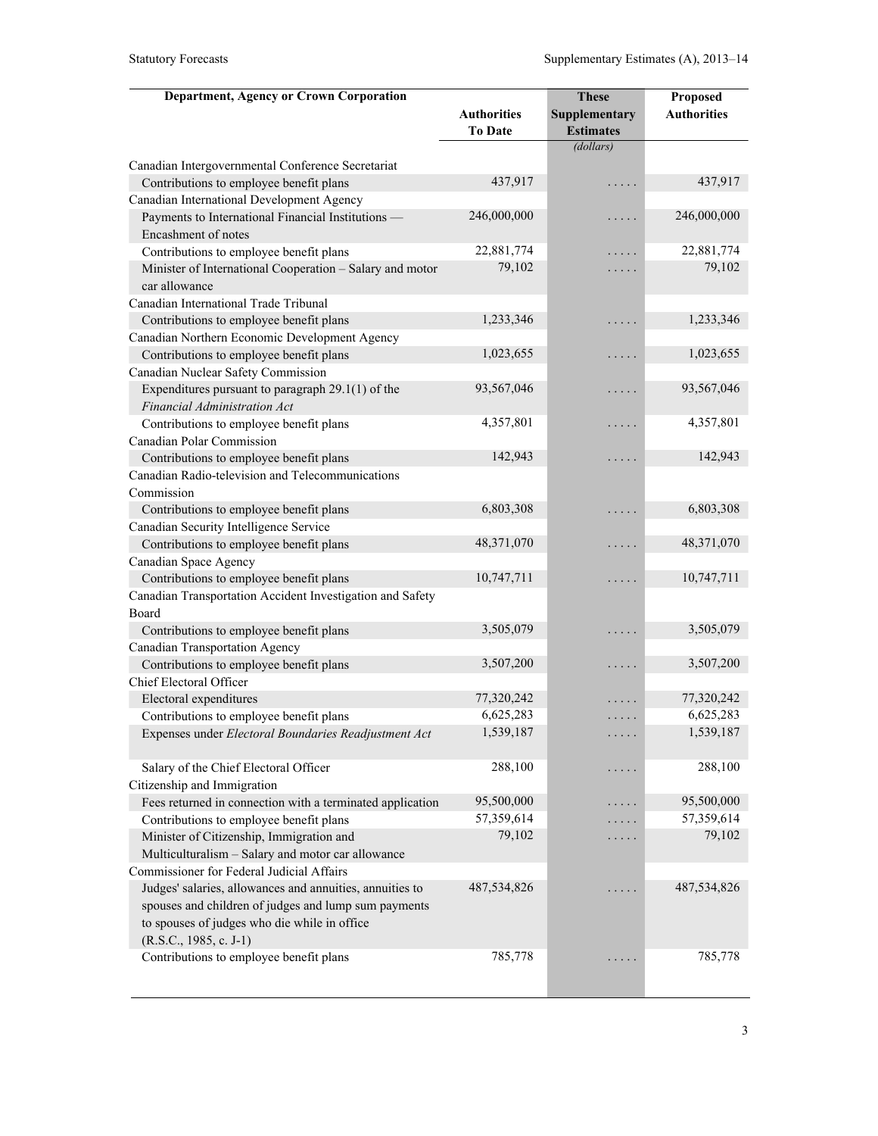| <b>Department, Agency or Crown Corporation</b>            |                    | <b>These</b>     | Proposed           |
|-----------------------------------------------------------|--------------------|------------------|--------------------|
|                                                           | <b>Authorities</b> | Supplementary    | <b>Authorities</b> |
|                                                           | <b>To Date</b>     | <b>Estimates</b> |                    |
|                                                           |                    | (dollars)        |                    |
| Canadian Intergovernmental Conference Secretariat         |                    |                  |                    |
| Contributions to employee benefit plans                   | 437,917            | .                | 437,917            |
| Canadian International Development Agency                 |                    |                  |                    |
| Payments to International Financial Institutions -        | 246,000,000        | .                | 246,000,000        |
| Encashment of notes                                       |                    |                  |                    |
| Contributions to employee benefit plans                   | 22,881,774         | .                | 22,881,774         |
| Minister of International Cooperation - Salary and motor  | 79,102             | .                | 79,102             |
| car allowance                                             |                    |                  |                    |
| Canadian International Trade Tribunal                     |                    |                  |                    |
| Contributions to employee benefit plans                   | 1,233,346          | .                | 1,233,346          |
| Canadian Northern Economic Development Agency             |                    |                  |                    |
| Contributions to employee benefit plans                   | 1,023,655          | .                | 1,023,655          |
| Canadian Nuclear Safety Commission                        |                    |                  |                    |
| Expenditures pursuant to paragraph $29.1(1)$ of the       | 93,567,046         | .                | 93,567,046         |
| Financial Administration Act                              |                    |                  |                    |
| Contributions to employee benefit plans                   | 4,357,801          | .                | 4,357,801          |
| Canadian Polar Commission                                 |                    |                  |                    |
| Contributions to employee benefit plans                   | 142,943            | .                | 142,943            |
| Canadian Radio-television and Telecommunications          |                    |                  |                    |
| Commission                                                |                    |                  |                    |
| Contributions to employee benefit plans                   | 6,803,308          | .                | 6,803,308          |
| Canadian Security Intelligence Service                    |                    |                  |                    |
| Contributions to employee benefit plans                   | 48,371,070         | .                | 48,371,070         |
| Canadian Space Agency                                     |                    |                  |                    |
| Contributions to employee benefit plans                   | 10,747,711         | .                | 10,747,711         |
| Canadian Transportation Accident Investigation and Safety |                    |                  |                    |
| Board                                                     |                    |                  |                    |
| Contributions to employee benefit plans                   | 3,505,079          | .                | 3,505,079          |
| Canadian Transportation Agency                            |                    |                  |                    |
| Contributions to employee benefit plans                   | 3,507,200          | .                | 3,507,200          |
| Chief Electoral Officer                                   |                    |                  |                    |
| Electoral expenditures                                    | 77,320,242         |                  | 77,320,242         |
| Contributions to employee benefit plans                   | 6,625,283          | .                | 6,625,283          |
| Expenses under Electoral Boundaries Readjustment Act      | 1,539,187          |                  | 1,539,187          |
|                                                           |                    |                  |                    |
| Salary of the Chief Electoral Officer                     | 288,100            | .                | 288,100            |
| Citizenship and Immigration                               |                    |                  |                    |
| Fees returned in connection with a terminated application | 95,500,000         | .                | 95,500,000         |
| Contributions to employee benefit plans                   | 57,359,614         | .                | 57,359,614         |
| Minister of Citizenship, Immigration and                  | 79,102             | .                | 79,102             |
| Multiculturalism - Salary and motor car allowance         |                    |                  |                    |
| Commissioner for Federal Judicial Affairs                 |                    |                  |                    |
| Judges' salaries, allowances and annuities, annuities to  | 487,534,826        |                  | 487,534,826        |
| spouses and children of judges and lump sum payments      |                    |                  |                    |
| to spouses of judges who die while in office              |                    |                  |                    |
| $(R.S.C., 1985, c. J-1)$                                  |                    |                  |                    |
| Contributions to employee benefit plans                   | 785,778            |                  | 785,778            |
|                                                           |                    |                  |                    |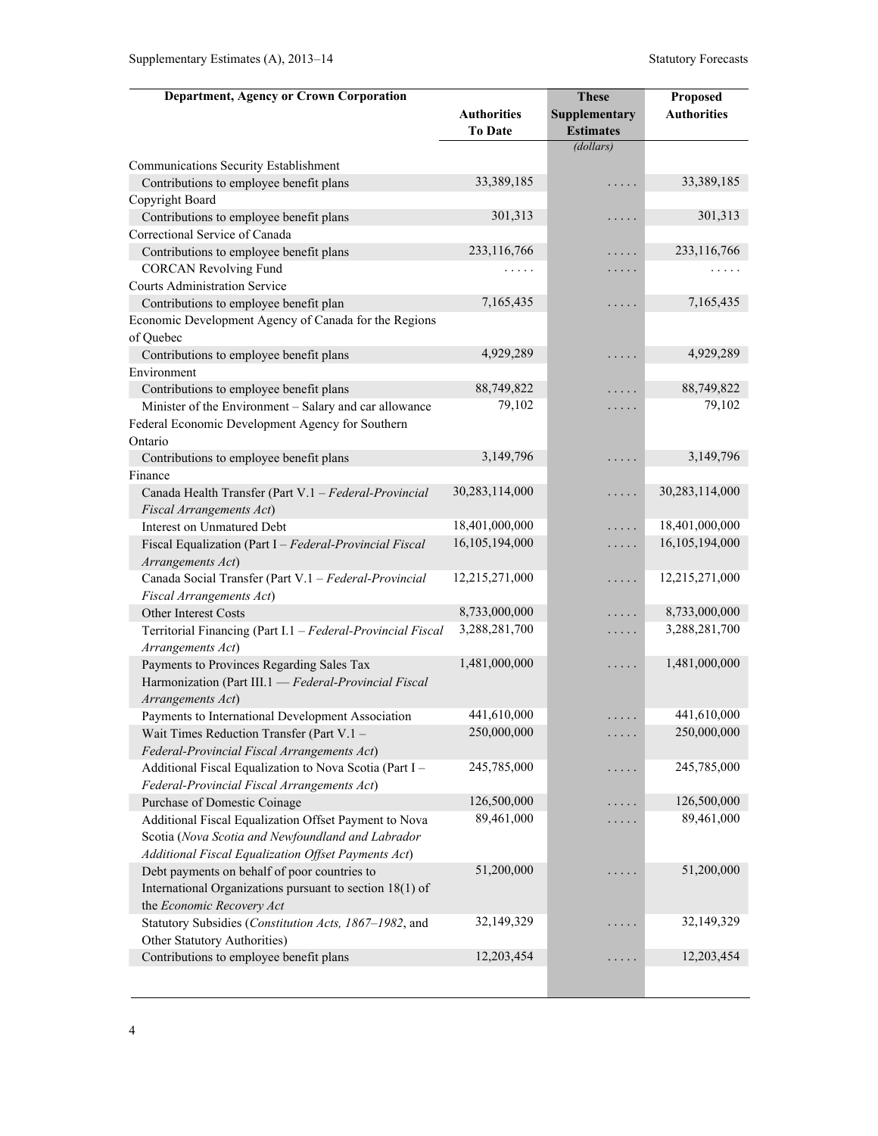| <b>Department, Agency or Crown Corporation</b>                                   |                    | <b>These</b>     | Proposed           |
|----------------------------------------------------------------------------------|--------------------|------------------|--------------------|
|                                                                                  | <b>Authorities</b> | Supplementary    | <b>Authorities</b> |
|                                                                                  | <b>To Date</b>     | <b>Estimates</b> |                    |
|                                                                                  |                    | (dollars)        |                    |
| Communications Security Establishment                                            |                    |                  |                    |
| Contributions to employee benefit plans                                          | 33,389,185         | .                | 33,389,185         |
| Copyright Board                                                                  |                    |                  |                    |
| Contributions to employee benefit plans                                          | 301,313            | .                | 301,313            |
| Correctional Service of Canada                                                   |                    |                  |                    |
| Contributions to employee benefit plans                                          | 233,116,766        | .                | 233,116,766        |
| <b>CORCAN Revolving Fund</b>                                                     | .                  | .                |                    |
| <b>Courts Administration Service</b>                                             |                    |                  |                    |
| Contributions to employee benefit plan                                           | 7,165,435          | .                | 7,165,435          |
| Economic Development Agency of Canada for the Regions                            |                    |                  |                    |
| of Quebec                                                                        |                    |                  |                    |
| Contributions to employee benefit plans                                          | 4,929,289          | .                | 4,929,289          |
| Environment                                                                      |                    |                  |                    |
| Contributions to employee benefit plans                                          | 88,749,822         | .                | 88,749,822         |
| Minister of the Environment - Salary and car allowance                           | 79,102             | .                | 79,102             |
| Federal Economic Development Agency for Southern                                 |                    |                  |                    |
| Ontario                                                                          |                    |                  |                    |
| Contributions to employee benefit plans                                          | 3,149,796          | .                | 3,149,796          |
| Finance                                                                          |                    |                  | 30,283,114,000     |
| Canada Health Transfer (Part V.1 - Federal-Provincial                            | 30,283,114,000     | .                |                    |
| Fiscal Arrangements Act)                                                         | 18,401,000,000     |                  | 18,401,000,000     |
| Interest on Unmatured Debt                                                       | 16,105,194,000     | .                | 16,105,194,000     |
| Fiscal Equalization (Part I - Federal-Provincial Fiscal<br>Arrangements Act)     |                    | .                |                    |
| Canada Social Transfer (Part V.1 - Federal-Provincial                            | 12,215,271,000     | .                | 12,215,271,000     |
| Fiscal Arrangements Act)                                                         |                    |                  |                    |
| Other Interest Costs                                                             | 8,733,000,000      | .                | 8,733,000,000      |
| Territorial Financing (Part I.1 - Federal-Provincial Fiscal<br>Arrangements Act) | 3,288,281,700      | .                | 3,288,281,700      |
| Payments to Provinces Regarding Sales Tax                                        | 1,481,000,000      | .                | 1,481,000,000      |
| Harmonization (Part III.1 - Federal-Provincial Fiscal                            |                    |                  |                    |
| Arrangements Act)                                                                |                    |                  |                    |
| Payments to International Development Association                                | 441,610,000        | .                | 441,610,000        |
| Wait Times Reduction Transfer (Part V.1 -                                        | 250,000,000        | .                | 250,000,000        |
| Federal-Provincial Fiscal Arrangements Act)                                      |                    |                  |                    |
| Additional Fiscal Equalization to Nova Scotia (Part I -                          | 245,785,000        | .                | 245,785,000        |
| Federal-Provincial Fiscal Arrangements Act)                                      |                    |                  |                    |
| Purchase of Domestic Coinage                                                     | 126,500,000        | .                | 126,500,000        |
| Additional Fiscal Equalization Offset Payment to Nova                            | 89,461,000         | .                | 89,461,000         |
| Scotia (Nova Scotia and Newfoundland and Labrador                                |                    |                  |                    |
| Additional Fiscal Equalization Offset Payments Act)                              |                    |                  |                    |
| Debt payments on behalf of poor countries to                                     | 51,200,000         | .                | 51,200,000         |
| International Organizations pursuant to section 18(1) of                         |                    |                  |                    |
| the Economic Recovery Act                                                        |                    |                  |                    |
| Statutory Subsidies (Constitution Acts, 1867-1982, and                           | 32,149,329         | $\ldots$ .       | 32,149,329         |
| Other Statutory Authorities)                                                     | 12,203,454         |                  | 12,203,454         |
| Contributions to employee benefit plans                                          |                    | .                |                    |
|                                                                                  |                    |                  |                    |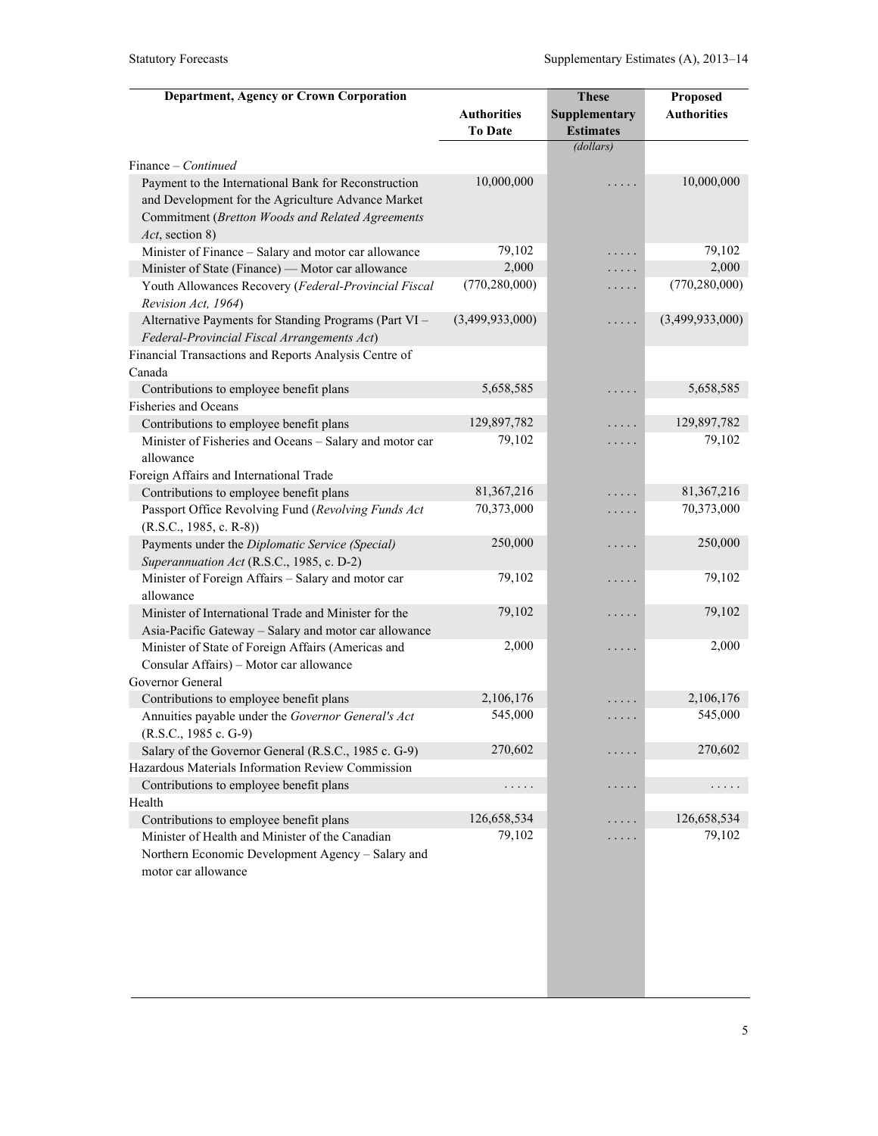| <b>Department, Agency or Crown Corporation</b>                                                                              |                                      | <b>These</b>                      | Proposed           |
|-----------------------------------------------------------------------------------------------------------------------------|--------------------------------------|-----------------------------------|--------------------|
|                                                                                                                             | <b>Authorities</b><br><b>To Date</b> | Supplementary<br><b>Estimates</b> | <b>Authorities</b> |
|                                                                                                                             |                                      | (dollars)                         |                    |
| Finance – Continued                                                                                                         | 10,000,000                           |                                   | 10,000,000         |
| Payment to the International Bank for Reconstruction<br>and Development for the Agriculture Advance Market                  |                                      |                                   |                    |
| Commitment (Bretton Woods and Related Agreements<br>Act, section 8)                                                         |                                      |                                   |                    |
| Minister of Finance - Salary and motor car allowance                                                                        | 79,102                               | .                                 | 79,102             |
| Minister of State (Finance) — Motor car allowance                                                                           | 2,000                                | .                                 | 2,000              |
| Youth Allowances Recovery (Federal-Provincial Fiscal<br>Revision Act, 1964)                                                 | (770, 280, 000)                      | .                                 | (770, 280, 000)    |
| Alternative Payments for Standing Programs (Part VI -<br>Federal-Provincial Fiscal Arrangements Act)                        | (3,499,933,000)                      | .                                 | (3,499,933,000)    |
| Financial Transactions and Reports Analysis Centre of                                                                       |                                      |                                   |                    |
| Canada                                                                                                                      |                                      |                                   |                    |
| Contributions to employee benefit plans                                                                                     | 5,658,585                            | .                                 | 5,658,585          |
| <b>Fisheries and Oceans</b>                                                                                                 |                                      |                                   |                    |
| Contributions to employee benefit plans                                                                                     | 129,897,782                          | .                                 | 129,897,782        |
| Minister of Fisheries and Oceans - Salary and motor car<br>allowance                                                        | 79,102                               | .                                 | 79,102             |
| Foreign Affairs and International Trade                                                                                     |                                      |                                   |                    |
| Contributions to employee benefit plans                                                                                     | 81,367,216                           | .                                 | 81,367,216         |
| Passport Office Revolving Fund (Revolving Funds Act<br>$(R.S.C., 1985, c. R-8))$                                            | 70,373,000                           | .                                 | 70,373,000         |
| Payments under the Diplomatic Service (Special)                                                                             | 250,000                              | .                                 | 250,000            |
| Superannuation Act (R.S.C., 1985, c. D-2)                                                                                   |                                      |                                   |                    |
| Minister of Foreign Affairs - Salary and motor car<br>allowance                                                             | 79,102                               | .                                 | 79,102             |
| Minister of International Trade and Minister for the                                                                        | 79,102                               | .                                 | 79,102             |
| Asia-Pacific Gateway - Salary and motor car allowance                                                                       |                                      |                                   |                    |
| Minister of State of Foreign Affairs (Americas and<br>Consular Affairs) - Motor car allowance                               | 2,000                                | .                                 | 2,000              |
| Governor General                                                                                                            | 2,106,176                            |                                   | 2,106,176          |
| Contributions to employee benefit plans                                                                                     | 545,000                              |                                   | 545,000            |
| Annuities payable under the Governor General's Act<br>(R.S.C., 1985 c. G-9)                                                 |                                      | .                                 |                    |
| Salary of the Governor General (R.S.C., 1985 c. G-9)                                                                        | 270,602                              |                                   | 270,602            |
| Hazardous Materials Information Review Commission                                                                           |                                      |                                   |                    |
| Contributions to employee benefit plans                                                                                     | .                                    | .                                 | .                  |
| Health                                                                                                                      |                                      |                                   |                    |
| Contributions to employee benefit plans                                                                                     | 126,658,534                          |                                   | 126,658,534        |
| Minister of Health and Minister of the Canadian<br>Northern Economic Development Agency - Salary and<br>motor car allowance | 79,102                               |                                   | 79,102             |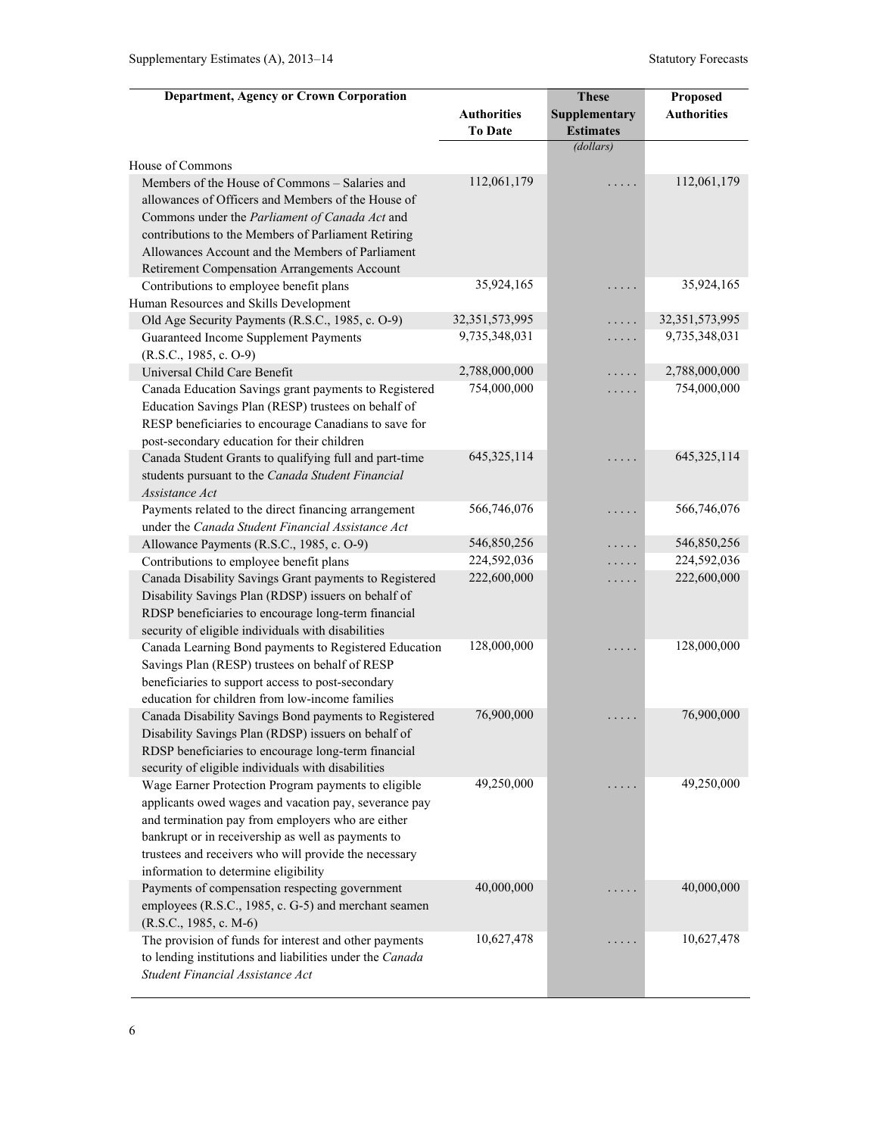| <b>Department, Agency or Crown Corporation</b>                                                               |                              | <b>These</b>     | Proposed                     |
|--------------------------------------------------------------------------------------------------------------|------------------------------|------------------|------------------------------|
|                                                                                                              | <b>Authorities</b>           | Supplementary    | <b>Authorities</b>           |
|                                                                                                              | <b>To Date</b>               | <b>Estimates</b> |                              |
|                                                                                                              |                              | (dollars)        |                              |
| House of Commons                                                                                             |                              |                  |                              |
| Members of the House of Commons - Salaries and                                                               | 112,061,179                  |                  | 112,061,179                  |
| allowances of Officers and Members of the House of                                                           |                              |                  |                              |
| Commons under the Parliament of Canada Act and                                                               |                              |                  |                              |
| contributions to the Members of Parliament Retiring                                                          |                              |                  |                              |
| Allowances Account and the Members of Parliament                                                             |                              |                  |                              |
| Retirement Compensation Arrangements Account                                                                 |                              |                  |                              |
| Contributions to employee benefit plans                                                                      | 35,924,165                   | .                | 35,924,165                   |
| Human Resources and Skills Development                                                                       |                              |                  |                              |
| Old Age Security Payments (R.S.C., 1985, c. O-9)                                                             | 32, 351, 573, 995            | .                | 32,351,573,995               |
| Guaranteed Income Supplement Payments                                                                        | 9,735,348,031                | .                | 9,735,348,031                |
| $(R.S.C., 1985, c. O-9)$                                                                                     |                              |                  |                              |
| Universal Child Care Benefit                                                                                 | 2,788,000,000<br>754,000,000 | .                | 2,788,000,000<br>754,000,000 |
| Canada Education Savings grant payments to Registered<br>Education Savings Plan (RESP) trustees on behalf of |                              | .                |                              |
| RESP beneficiaries to encourage Canadians to save for                                                        |                              |                  |                              |
| post-secondary education for their children                                                                  |                              |                  |                              |
| Canada Student Grants to qualifying full and part-time                                                       | 645, 325, 114                | .                | 645, 325, 114                |
| students pursuant to the Canada Student Financial                                                            |                              |                  |                              |
| Assistance Act                                                                                               |                              |                  |                              |
| Payments related to the direct financing arrangement                                                         | 566,746,076                  | .                | 566,746,076                  |
| under the Canada Student Financial Assistance Act                                                            |                              |                  |                              |
| Allowance Payments (R.S.C., 1985, c. O-9)                                                                    | 546,850,256                  | .                | 546,850,256                  |
| Contributions to employee benefit plans                                                                      | 224,592,036                  | .                | 224,592,036                  |
| Canada Disability Savings Grant payments to Registered                                                       | 222,600,000                  | .                | 222,600,000                  |
| Disability Savings Plan (RDSP) issuers on behalf of                                                          |                              |                  |                              |
| RDSP beneficiaries to encourage long-term financial                                                          |                              |                  |                              |
| security of eligible individuals with disabilities                                                           |                              |                  |                              |
| Canada Learning Bond payments to Registered Education                                                        | 128,000,000                  |                  | 128,000,000                  |
| Savings Plan (RESP) trustees on behalf of RESP                                                               |                              |                  |                              |
| beneficiaries to support access to post-secondary                                                            |                              |                  |                              |
| education for children from low-income families                                                              | 76,900,000                   |                  | 76,900,000                   |
| Canada Disability Savings Bond payments to Registered<br>Disability Savings Plan (RDSP) issuers on behalf of |                              | .                |                              |
| RDSP beneficiaries to encourage long-term financial                                                          |                              |                  |                              |
| security of eligible individuals with disabilities                                                           |                              |                  |                              |
| Wage Earner Protection Program payments to eligible                                                          | 49,250,000                   |                  | 49,250,000                   |
| applicants owed wages and vacation pay, severance pay                                                        |                              |                  |                              |
| and termination pay from employers who are either                                                            |                              |                  |                              |
| bankrupt or in receivership as well as payments to                                                           |                              |                  |                              |
| trustees and receivers who will provide the necessary                                                        |                              |                  |                              |
| information to determine eligibility                                                                         |                              |                  |                              |
| Payments of compensation respecting government                                                               | 40,000,000                   |                  | 40,000,000                   |
| employees (R.S.C., 1985, c. G-5) and merchant seamen                                                         |                              |                  |                              |
| $(R.S.C., 1985, c. M-6)$                                                                                     |                              |                  |                              |
| The provision of funds for interest and other payments                                                       | 10,627,478                   | .                | 10,627,478                   |
| to lending institutions and liabilities under the Canada                                                     |                              |                  |                              |
| Student Financial Assistance Act                                                                             |                              |                  |                              |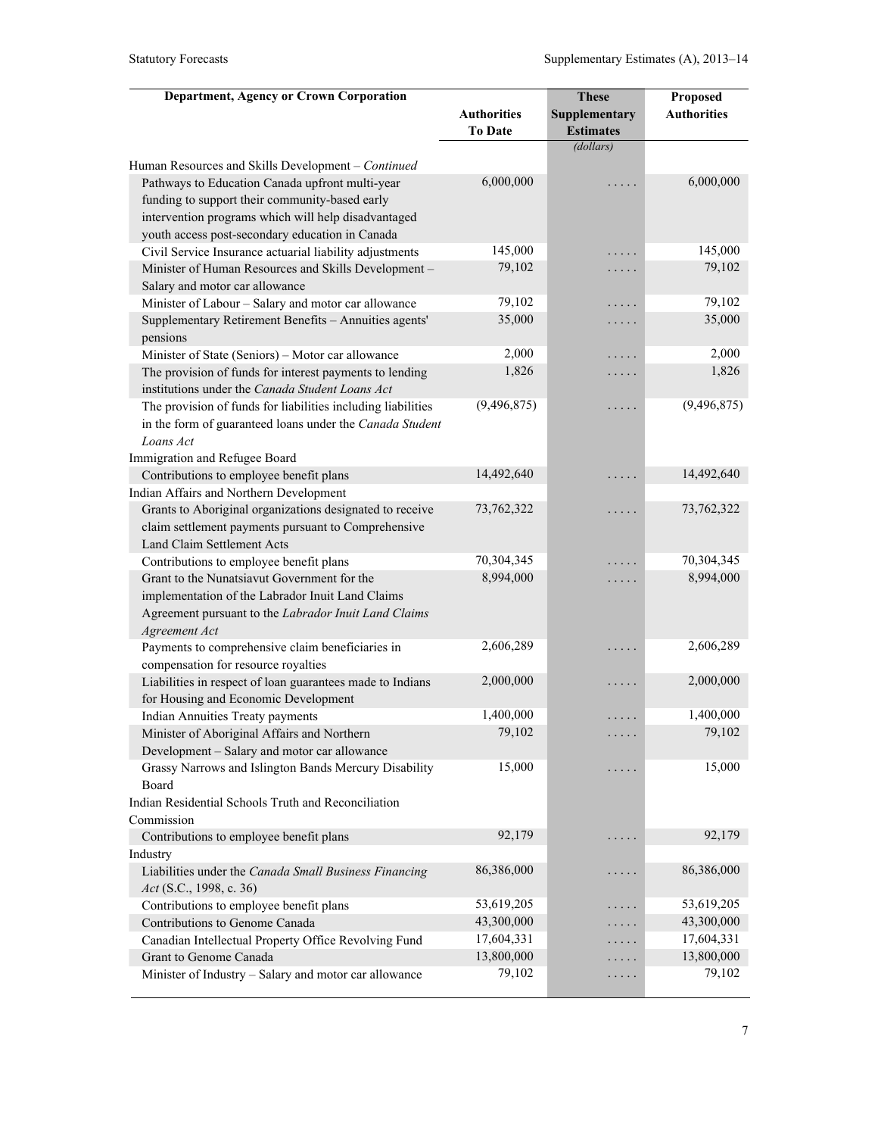| <b>Authorities</b><br>Supplementary<br><b>Authorities</b><br>To Date<br><b>Estimates</b><br>(dollars)<br>6,000,000<br>6,000,000<br>Pathways to Education Canada upfront multi-year<br>.<br>funding to support their community-based early<br>intervention programs which will help disadvantaged<br>youth access post-secondary education in Canada<br>145,000<br>145,000<br>Civil Service Insurance actuarial liability adjustments<br>.<br>79,102<br>79,102<br>Minister of Human Resources and Skills Development-<br>.<br>Salary and motor car allowance<br>79,102<br>79,102<br>Minister of Labour - Salary and motor car allowance<br>.<br>35,000<br>35,000<br>Supplementary Retirement Benefits - Annuities agents'<br>.<br>pensions<br>2,000<br>2,000<br>Minister of State (Seniors) - Motor car allowance<br>.<br>1,826<br>1,826<br>The provision of funds for interest payments to lending<br>.<br>institutions under the Canada Student Loans Act<br>(9, 496, 875)<br>(9, 496, 875)<br>The provision of funds for liabilities including liabilities<br>.<br>in the form of guaranteed loans under the Canada Student<br>Loans Act<br>Immigration and Refugee Board<br>14,492,640<br>14,492,640<br>Contributions to employee benefit plans<br>.<br>Indian Affairs and Northern Development<br>73,762,322<br>73,762,322<br>Grants to Aboriginal organizations designated to receive<br>.<br>claim settlement payments pursuant to Comprehensive<br>Land Claim Settlement Acts<br>70,304,345<br>70,304,345<br>Contributions to employee benefit plans<br>.<br>8,994,000<br>8,994,000<br>Grant to the Nunatsiavut Government for the<br>.<br>implementation of the Labrador Inuit Land Claims<br>Agreement pursuant to the Labrador Inuit Land Claims<br>Agreement Act<br>2,606,289<br>2,606,289<br>Payments to comprehensive claim beneficiaries in<br>.<br>compensation for resource royalties<br>2,000,000<br>2,000,000<br>Liabilities in respect of loan guarantees made to Indians<br>.<br>for Housing and Economic Development<br>1,400,000<br>1,400,000<br><b>Indian Annuities Treaty payments</b><br>.<br>79,102<br>79,102<br>Minister of Aboriginal Affairs and Northern<br>Development - Salary and motor car allowance<br>15,000<br>15,000<br>Grassy Narrows and Islington Bands Mercury Disability<br>$\cdots$<br>Board<br>Indian Residential Schools Truth and Reconciliation<br>92,179<br>92,179<br>Contributions to employee benefit plans<br>د د د د<br>Industry<br>86,386,000<br>86,386,000<br>Liabilities under the Canada Small Business Financing<br>.<br>Act (S.C., 1998, c. 36)<br>53,619,205<br>53,619,205<br>Contributions to employee benefit plans<br>.<br>43,300,000<br>43,300,000<br>Contributions to Genome Canada<br>.<br>17,604,331<br>17,604,331<br>Canadian Intellectual Property Office Revolving Fund<br>. | <b>Department, Agency or Crown Corporation</b>     | <b>These</b> | Proposed |
|----------------------------------------------------------------------------------------------------------------------------------------------------------------------------------------------------------------------------------------------------------------------------------------------------------------------------------------------------------------------------------------------------------------------------------------------------------------------------------------------------------------------------------------------------------------------------------------------------------------------------------------------------------------------------------------------------------------------------------------------------------------------------------------------------------------------------------------------------------------------------------------------------------------------------------------------------------------------------------------------------------------------------------------------------------------------------------------------------------------------------------------------------------------------------------------------------------------------------------------------------------------------------------------------------------------------------------------------------------------------------------------------------------------------------------------------------------------------------------------------------------------------------------------------------------------------------------------------------------------------------------------------------------------------------------------------------------------------------------------------------------------------------------------------------------------------------------------------------------------------------------------------------------------------------------------------------------------------------------------------------------------------------------------------------------------------------------------------------------------------------------------------------------------------------------------------------------------------------------------------------------------------------------------------------------------------------------------------------------------------------------------------------------------------------------------------------------------------------------------------------------------------------------------------------------------------------------------------------------------------------------------------------------------------------------------------------------------------------------------------------------------------------------------------------------------------------------------------------|----------------------------------------------------|--------------|----------|
|                                                                                                                                                                                                                                                                                                                                                                                                                                                                                                                                                                                                                                                                                                                                                                                                                                                                                                                                                                                                                                                                                                                                                                                                                                                                                                                                                                                                                                                                                                                                                                                                                                                                                                                                                                                                                                                                                                                                                                                                                                                                                                                                                                                                                                                                                                                                                                                                                                                                                                                                                                                                                                                                                                                                                                                                                                                    |                                                    |              |          |
|                                                                                                                                                                                                                                                                                                                                                                                                                                                                                                                                                                                                                                                                                                                                                                                                                                                                                                                                                                                                                                                                                                                                                                                                                                                                                                                                                                                                                                                                                                                                                                                                                                                                                                                                                                                                                                                                                                                                                                                                                                                                                                                                                                                                                                                                                                                                                                                                                                                                                                                                                                                                                                                                                                                                                                                                                                                    |                                                    |              |          |
|                                                                                                                                                                                                                                                                                                                                                                                                                                                                                                                                                                                                                                                                                                                                                                                                                                                                                                                                                                                                                                                                                                                                                                                                                                                                                                                                                                                                                                                                                                                                                                                                                                                                                                                                                                                                                                                                                                                                                                                                                                                                                                                                                                                                                                                                                                                                                                                                                                                                                                                                                                                                                                                                                                                                                                                                                                                    |                                                    |              |          |
|                                                                                                                                                                                                                                                                                                                                                                                                                                                                                                                                                                                                                                                                                                                                                                                                                                                                                                                                                                                                                                                                                                                                                                                                                                                                                                                                                                                                                                                                                                                                                                                                                                                                                                                                                                                                                                                                                                                                                                                                                                                                                                                                                                                                                                                                                                                                                                                                                                                                                                                                                                                                                                                                                                                                                                                                                                                    | Human Resources and Skills Development - Continued |              |          |
|                                                                                                                                                                                                                                                                                                                                                                                                                                                                                                                                                                                                                                                                                                                                                                                                                                                                                                                                                                                                                                                                                                                                                                                                                                                                                                                                                                                                                                                                                                                                                                                                                                                                                                                                                                                                                                                                                                                                                                                                                                                                                                                                                                                                                                                                                                                                                                                                                                                                                                                                                                                                                                                                                                                                                                                                                                                    |                                                    |              |          |
|                                                                                                                                                                                                                                                                                                                                                                                                                                                                                                                                                                                                                                                                                                                                                                                                                                                                                                                                                                                                                                                                                                                                                                                                                                                                                                                                                                                                                                                                                                                                                                                                                                                                                                                                                                                                                                                                                                                                                                                                                                                                                                                                                                                                                                                                                                                                                                                                                                                                                                                                                                                                                                                                                                                                                                                                                                                    |                                                    |              |          |
|                                                                                                                                                                                                                                                                                                                                                                                                                                                                                                                                                                                                                                                                                                                                                                                                                                                                                                                                                                                                                                                                                                                                                                                                                                                                                                                                                                                                                                                                                                                                                                                                                                                                                                                                                                                                                                                                                                                                                                                                                                                                                                                                                                                                                                                                                                                                                                                                                                                                                                                                                                                                                                                                                                                                                                                                                                                    |                                                    |              |          |
|                                                                                                                                                                                                                                                                                                                                                                                                                                                                                                                                                                                                                                                                                                                                                                                                                                                                                                                                                                                                                                                                                                                                                                                                                                                                                                                                                                                                                                                                                                                                                                                                                                                                                                                                                                                                                                                                                                                                                                                                                                                                                                                                                                                                                                                                                                                                                                                                                                                                                                                                                                                                                                                                                                                                                                                                                                                    |                                                    |              |          |
|                                                                                                                                                                                                                                                                                                                                                                                                                                                                                                                                                                                                                                                                                                                                                                                                                                                                                                                                                                                                                                                                                                                                                                                                                                                                                                                                                                                                                                                                                                                                                                                                                                                                                                                                                                                                                                                                                                                                                                                                                                                                                                                                                                                                                                                                                                                                                                                                                                                                                                                                                                                                                                                                                                                                                                                                                                                    |                                                    |              |          |
|                                                                                                                                                                                                                                                                                                                                                                                                                                                                                                                                                                                                                                                                                                                                                                                                                                                                                                                                                                                                                                                                                                                                                                                                                                                                                                                                                                                                                                                                                                                                                                                                                                                                                                                                                                                                                                                                                                                                                                                                                                                                                                                                                                                                                                                                                                                                                                                                                                                                                                                                                                                                                                                                                                                                                                                                                                                    |                                                    |              |          |
|                                                                                                                                                                                                                                                                                                                                                                                                                                                                                                                                                                                                                                                                                                                                                                                                                                                                                                                                                                                                                                                                                                                                                                                                                                                                                                                                                                                                                                                                                                                                                                                                                                                                                                                                                                                                                                                                                                                                                                                                                                                                                                                                                                                                                                                                                                                                                                                                                                                                                                                                                                                                                                                                                                                                                                                                                                                    |                                                    |              |          |
|                                                                                                                                                                                                                                                                                                                                                                                                                                                                                                                                                                                                                                                                                                                                                                                                                                                                                                                                                                                                                                                                                                                                                                                                                                                                                                                                                                                                                                                                                                                                                                                                                                                                                                                                                                                                                                                                                                                                                                                                                                                                                                                                                                                                                                                                                                                                                                                                                                                                                                                                                                                                                                                                                                                                                                                                                                                    |                                                    |              |          |
|                                                                                                                                                                                                                                                                                                                                                                                                                                                                                                                                                                                                                                                                                                                                                                                                                                                                                                                                                                                                                                                                                                                                                                                                                                                                                                                                                                                                                                                                                                                                                                                                                                                                                                                                                                                                                                                                                                                                                                                                                                                                                                                                                                                                                                                                                                                                                                                                                                                                                                                                                                                                                                                                                                                                                                                                                                                    |                                                    |              |          |
|                                                                                                                                                                                                                                                                                                                                                                                                                                                                                                                                                                                                                                                                                                                                                                                                                                                                                                                                                                                                                                                                                                                                                                                                                                                                                                                                                                                                                                                                                                                                                                                                                                                                                                                                                                                                                                                                                                                                                                                                                                                                                                                                                                                                                                                                                                                                                                                                                                                                                                                                                                                                                                                                                                                                                                                                                                                    |                                                    |              |          |
|                                                                                                                                                                                                                                                                                                                                                                                                                                                                                                                                                                                                                                                                                                                                                                                                                                                                                                                                                                                                                                                                                                                                                                                                                                                                                                                                                                                                                                                                                                                                                                                                                                                                                                                                                                                                                                                                                                                                                                                                                                                                                                                                                                                                                                                                                                                                                                                                                                                                                                                                                                                                                                                                                                                                                                                                                                                    |                                                    |              |          |
|                                                                                                                                                                                                                                                                                                                                                                                                                                                                                                                                                                                                                                                                                                                                                                                                                                                                                                                                                                                                                                                                                                                                                                                                                                                                                                                                                                                                                                                                                                                                                                                                                                                                                                                                                                                                                                                                                                                                                                                                                                                                                                                                                                                                                                                                                                                                                                                                                                                                                                                                                                                                                                                                                                                                                                                                                                                    |                                                    |              |          |
|                                                                                                                                                                                                                                                                                                                                                                                                                                                                                                                                                                                                                                                                                                                                                                                                                                                                                                                                                                                                                                                                                                                                                                                                                                                                                                                                                                                                                                                                                                                                                                                                                                                                                                                                                                                                                                                                                                                                                                                                                                                                                                                                                                                                                                                                                                                                                                                                                                                                                                                                                                                                                                                                                                                                                                                                                                                    |                                                    |              |          |
|                                                                                                                                                                                                                                                                                                                                                                                                                                                                                                                                                                                                                                                                                                                                                                                                                                                                                                                                                                                                                                                                                                                                                                                                                                                                                                                                                                                                                                                                                                                                                                                                                                                                                                                                                                                                                                                                                                                                                                                                                                                                                                                                                                                                                                                                                                                                                                                                                                                                                                                                                                                                                                                                                                                                                                                                                                                    |                                                    |              |          |
|                                                                                                                                                                                                                                                                                                                                                                                                                                                                                                                                                                                                                                                                                                                                                                                                                                                                                                                                                                                                                                                                                                                                                                                                                                                                                                                                                                                                                                                                                                                                                                                                                                                                                                                                                                                                                                                                                                                                                                                                                                                                                                                                                                                                                                                                                                                                                                                                                                                                                                                                                                                                                                                                                                                                                                                                                                                    |                                                    |              |          |
|                                                                                                                                                                                                                                                                                                                                                                                                                                                                                                                                                                                                                                                                                                                                                                                                                                                                                                                                                                                                                                                                                                                                                                                                                                                                                                                                                                                                                                                                                                                                                                                                                                                                                                                                                                                                                                                                                                                                                                                                                                                                                                                                                                                                                                                                                                                                                                                                                                                                                                                                                                                                                                                                                                                                                                                                                                                    |                                                    |              |          |
|                                                                                                                                                                                                                                                                                                                                                                                                                                                                                                                                                                                                                                                                                                                                                                                                                                                                                                                                                                                                                                                                                                                                                                                                                                                                                                                                                                                                                                                                                                                                                                                                                                                                                                                                                                                                                                                                                                                                                                                                                                                                                                                                                                                                                                                                                                                                                                                                                                                                                                                                                                                                                                                                                                                                                                                                                                                    |                                                    |              |          |
|                                                                                                                                                                                                                                                                                                                                                                                                                                                                                                                                                                                                                                                                                                                                                                                                                                                                                                                                                                                                                                                                                                                                                                                                                                                                                                                                                                                                                                                                                                                                                                                                                                                                                                                                                                                                                                                                                                                                                                                                                                                                                                                                                                                                                                                                                                                                                                                                                                                                                                                                                                                                                                                                                                                                                                                                                                                    |                                                    |              |          |
|                                                                                                                                                                                                                                                                                                                                                                                                                                                                                                                                                                                                                                                                                                                                                                                                                                                                                                                                                                                                                                                                                                                                                                                                                                                                                                                                                                                                                                                                                                                                                                                                                                                                                                                                                                                                                                                                                                                                                                                                                                                                                                                                                                                                                                                                                                                                                                                                                                                                                                                                                                                                                                                                                                                                                                                                                                                    |                                                    |              |          |
|                                                                                                                                                                                                                                                                                                                                                                                                                                                                                                                                                                                                                                                                                                                                                                                                                                                                                                                                                                                                                                                                                                                                                                                                                                                                                                                                                                                                                                                                                                                                                                                                                                                                                                                                                                                                                                                                                                                                                                                                                                                                                                                                                                                                                                                                                                                                                                                                                                                                                                                                                                                                                                                                                                                                                                                                                                                    |                                                    |              |          |
|                                                                                                                                                                                                                                                                                                                                                                                                                                                                                                                                                                                                                                                                                                                                                                                                                                                                                                                                                                                                                                                                                                                                                                                                                                                                                                                                                                                                                                                                                                                                                                                                                                                                                                                                                                                                                                                                                                                                                                                                                                                                                                                                                                                                                                                                                                                                                                                                                                                                                                                                                                                                                                                                                                                                                                                                                                                    |                                                    |              |          |
|                                                                                                                                                                                                                                                                                                                                                                                                                                                                                                                                                                                                                                                                                                                                                                                                                                                                                                                                                                                                                                                                                                                                                                                                                                                                                                                                                                                                                                                                                                                                                                                                                                                                                                                                                                                                                                                                                                                                                                                                                                                                                                                                                                                                                                                                                                                                                                                                                                                                                                                                                                                                                                                                                                                                                                                                                                                    |                                                    |              |          |
|                                                                                                                                                                                                                                                                                                                                                                                                                                                                                                                                                                                                                                                                                                                                                                                                                                                                                                                                                                                                                                                                                                                                                                                                                                                                                                                                                                                                                                                                                                                                                                                                                                                                                                                                                                                                                                                                                                                                                                                                                                                                                                                                                                                                                                                                                                                                                                                                                                                                                                                                                                                                                                                                                                                                                                                                                                                    |                                                    |              |          |
|                                                                                                                                                                                                                                                                                                                                                                                                                                                                                                                                                                                                                                                                                                                                                                                                                                                                                                                                                                                                                                                                                                                                                                                                                                                                                                                                                                                                                                                                                                                                                                                                                                                                                                                                                                                                                                                                                                                                                                                                                                                                                                                                                                                                                                                                                                                                                                                                                                                                                                                                                                                                                                                                                                                                                                                                                                                    |                                                    |              |          |
|                                                                                                                                                                                                                                                                                                                                                                                                                                                                                                                                                                                                                                                                                                                                                                                                                                                                                                                                                                                                                                                                                                                                                                                                                                                                                                                                                                                                                                                                                                                                                                                                                                                                                                                                                                                                                                                                                                                                                                                                                                                                                                                                                                                                                                                                                                                                                                                                                                                                                                                                                                                                                                                                                                                                                                                                                                                    |                                                    |              |          |
|                                                                                                                                                                                                                                                                                                                                                                                                                                                                                                                                                                                                                                                                                                                                                                                                                                                                                                                                                                                                                                                                                                                                                                                                                                                                                                                                                                                                                                                                                                                                                                                                                                                                                                                                                                                                                                                                                                                                                                                                                                                                                                                                                                                                                                                                                                                                                                                                                                                                                                                                                                                                                                                                                                                                                                                                                                                    |                                                    |              |          |
|                                                                                                                                                                                                                                                                                                                                                                                                                                                                                                                                                                                                                                                                                                                                                                                                                                                                                                                                                                                                                                                                                                                                                                                                                                                                                                                                                                                                                                                                                                                                                                                                                                                                                                                                                                                                                                                                                                                                                                                                                                                                                                                                                                                                                                                                                                                                                                                                                                                                                                                                                                                                                                                                                                                                                                                                                                                    |                                                    |              |          |
|                                                                                                                                                                                                                                                                                                                                                                                                                                                                                                                                                                                                                                                                                                                                                                                                                                                                                                                                                                                                                                                                                                                                                                                                                                                                                                                                                                                                                                                                                                                                                                                                                                                                                                                                                                                                                                                                                                                                                                                                                                                                                                                                                                                                                                                                                                                                                                                                                                                                                                                                                                                                                                                                                                                                                                                                                                                    |                                                    |              |          |
|                                                                                                                                                                                                                                                                                                                                                                                                                                                                                                                                                                                                                                                                                                                                                                                                                                                                                                                                                                                                                                                                                                                                                                                                                                                                                                                                                                                                                                                                                                                                                                                                                                                                                                                                                                                                                                                                                                                                                                                                                                                                                                                                                                                                                                                                                                                                                                                                                                                                                                                                                                                                                                                                                                                                                                                                                                                    |                                                    |              |          |
|                                                                                                                                                                                                                                                                                                                                                                                                                                                                                                                                                                                                                                                                                                                                                                                                                                                                                                                                                                                                                                                                                                                                                                                                                                                                                                                                                                                                                                                                                                                                                                                                                                                                                                                                                                                                                                                                                                                                                                                                                                                                                                                                                                                                                                                                                                                                                                                                                                                                                                                                                                                                                                                                                                                                                                                                                                                    |                                                    |              |          |
|                                                                                                                                                                                                                                                                                                                                                                                                                                                                                                                                                                                                                                                                                                                                                                                                                                                                                                                                                                                                                                                                                                                                                                                                                                                                                                                                                                                                                                                                                                                                                                                                                                                                                                                                                                                                                                                                                                                                                                                                                                                                                                                                                                                                                                                                                                                                                                                                                                                                                                                                                                                                                                                                                                                                                                                                                                                    |                                                    |              |          |
|                                                                                                                                                                                                                                                                                                                                                                                                                                                                                                                                                                                                                                                                                                                                                                                                                                                                                                                                                                                                                                                                                                                                                                                                                                                                                                                                                                                                                                                                                                                                                                                                                                                                                                                                                                                                                                                                                                                                                                                                                                                                                                                                                                                                                                                                                                                                                                                                                                                                                                                                                                                                                                                                                                                                                                                                                                                    |                                                    |              |          |
|                                                                                                                                                                                                                                                                                                                                                                                                                                                                                                                                                                                                                                                                                                                                                                                                                                                                                                                                                                                                                                                                                                                                                                                                                                                                                                                                                                                                                                                                                                                                                                                                                                                                                                                                                                                                                                                                                                                                                                                                                                                                                                                                                                                                                                                                                                                                                                                                                                                                                                                                                                                                                                                                                                                                                                                                                                                    |                                                    |              |          |
|                                                                                                                                                                                                                                                                                                                                                                                                                                                                                                                                                                                                                                                                                                                                                                                                                                                                                                                                                                                                                                                                                                                                                                                                                                                                                                                                                                                                                                                                                                                                                                                                                                                                                                                                                                                                                                                                                                                                                                                                                                                                                                                                                                                                                                                                                                                                                                                                                                                                                                                                                                                                                                                                                                                                                                                                                                                    |                                                    |              |          |
|                                                                                                                                                                                                                                                                                                                                                                                                                                                                                                                                                                                                                                                                                                                                                                                                                                                                                                                                                                                                                                                                                                                                                                                                                                                                                                                                                                                                                                                                                                                                                                                                                                                                                                                                                                                                                                                                                                                                                                                                                                                                                                                                                                                                                                                                                                                                                                                                                                                                                                                                                                                                                                                                                                                                                                                                                                                    |                                                    |              |          |
|                                                                                                                                                                                                                                                                                                                                                                                                                                                                                                                                                                                                                                                                                                                                                                                                                                                                                                                                                                                                                                                                                                                                                                                                                                                                                                                                                                                                                                                                                                                                                                                                                                                                                                                                                                                                                                                                                                                                                                                                                                                                                                                                                                                                                                                                                                                                                                                                                                                                                                                                                                                                                                                                                                                                                                                                                                                    |                                                    |              |          |
|                                                                                                                                                                                                                                                                                                                                                                                                                                                                                                                                                                                                                                                                                                                                                                                                                                                                                                                                                                                                                                                                                                                                                                                                                                                                                                                                                                                                                                                                                                                                                                                                                                                                                                                                                                                                                                                                                                                                                                                                                                                                                                                                                                                                                                                                                                                                                                                                                                                                                                                                                                                                                                                                                                                                                                                                                                                    |                                                    |              |          |
|                                                                                                                                                                                                                                                                                                                                                                                                                                                                                                                                                                                                                                                                                                                                                                                                                                                                                                                                                                                                                                                                                                                                                                                                                                                                                                                                                                                                                                                                                                                                                                                                                                                                                                                                                                                                                                                                                                                                                                                                                                                                                                                                                                                                                                                                                                                                                                                                                                                                                                                                                                                                                                                                                                                                                                                                                                                    | Commission                                         |              |          |
|                                                                                                                                                                                                                                                                                                                                                                                                                                                                                                                                                                                                                                                                                                                                                                                                                                                                                                                                                                                                                                                                                                                                                                                                                                                                                                                                                                                                                                                                                                                                                                                                                                                                                                                                                                                                                                                                                                                                                                                                                                                                                                                                                                                                                                                                                                                                                                                                                                                                                                                                                                                                                                                                                                                                                                                                                                                    |                                                    |              |          |
|                                                                                                                                                                                                                                                                                                                                                                                                                                                                                                                                                                                                                                                                                                                                                                                                                                                                                                                                                                                                                                                                                                                                                                                                                                                                                                                                                                                                                                                                                                                                                                                                                                                                                                                                                                                                                                                                                                                                                                                                                                                                                                                                                                                                                                                                                                                                                                                                                                                                                                                                                                                                                                                                                                                                                                                                                                                    |                                                    |              |          |
|                                                                                                                                                                                                                                                                                                                                                                                                                                                                                                                                                                                                                                                                                                                                                                                                                                                                                                                                                                                                                                                                                                                                                                                                                                                                                                                                                                                                                                                                                                                                                                                                                                                                                                                                                                                                                                                                                                                                                                                                                                                                                                                                                                                                                                                                                                                                                                                                                                                                                                                                                                                                                                                                                                                                                                                                                                                    |                                                    |              |          |
|                                                                                                                                                                                                                                                                                                                                                                                                                                                                                                                                                                                                                                                                                                                                                                                                                                                                                                                                                                                                                                                                                                                                                                                                                                                                                                                                                                                                                                                                                                                                                                                                                                                                                                                                                                                                                                                                                                                                                                                                                                                                                                                                                                                                                                                                                                                                                                                                                                                                                                                                                                                                                                                                                                                                                                                                                                                    |                                                    |              |          |
|                                                                                                                                                                                                                                                                                                                                                                                                                                                                                                                                                                                                                                                                                                                                                                                                                                                                                                                                                                                                                                                                                                                                                                                                                                                                                                                                                                                                                                                                                                                                                                                                                                                                                                                                                                                                                                                                                                                                                                                                                                                                                                                                                                                                                                                                                                                                                                                                                                                                                                                                                                                                                                                                                                                                                                                                                                                    |                                                    |              |          |
|                                                                                                                                                                                                                                                                                                                                                                                                                                                                                                                                                                                                                                                                                                                                                                                                                                                                                                                                                                                                                                                                                                                                                                                                                                                                                                                                                                                                                                                                                                                                                                                                                                                                                                                                                                                                                                                                                                                                                                                                                                                                                                                                                                                                                                                                                                                                                                                                                                                                                                                                                                                                                                                                                                                                                                                                                                                    |                                                    |              |          |
|                                                                                                                                                                                                                                                                                                                                                                                                                                                                                                                                                                                                                                                                                                                                                                                                                                                                                                                                                                                                                                                                                                                                                                                                                                                                                                                                                                                                                                                                                                                                                                                                                                                                                                                                                                                                                                                                                                                                                                                                                                                                                                                                                                                                                                                                                                                                                                                                                                                                                                                                                                                                                                                                                                                                                                                                                                                    |                                                    |              |          |
| 13,800,000<br>13,800,000<br>Grant to Genome Canada<br>.                                                                                                                                                                                                                                                                                                                                                                                                                                                                                                                                                                                                                                                                                                                                                                                                                                                                                                                                                                                                                                                                                                                                                                                                                                                                                                                                                                                                                                                                                                                                                                                                                                                                                                                                                                                                                                                                                                                                                                                                                                                                                                                                                                                                                                                                                                                                                                                                                                                                                                                                                                                                                                                                                                                                                                                            |                                                    |              |          |
| 79,102<br>79,102<br>Minister of Industry - Salary and motor car allowance<br>.                                                                                                                                                                                                                                                                                                                                                                                                                                                                                                                                                                                                                                                                                                                                                                                                                                                                                                                                                                                                                                                                                                                                                                                                                                                                                                                                                                                                                                                                                                                                                                                                                                                                                                                                                                                                                                                                                                                                                                                                                                                                                                                                                                                                                                                                                                                                                                                                                                                                                                                                                                                                                                                                                                                                                                     |                                                    |              |          |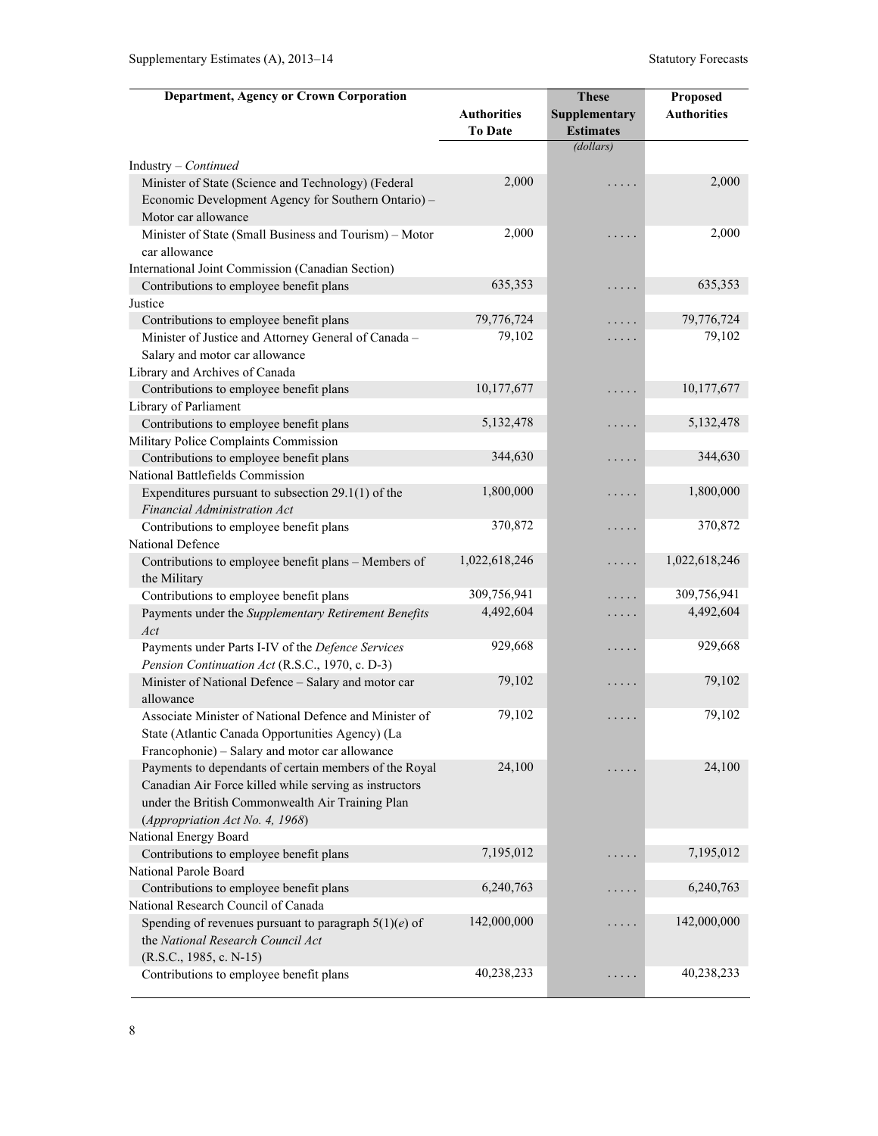| <b>Department, Agency or Crown Corporation</b>                                                                                                                                                          |                                      | <b>These</b>                             | Proposed           |
|---------------------------------------------------------------------------------------------------------------------------------------------------------------------------------------------------------|--------------------------------------|------------------------------------------|--------------------|
|                                                                                                                                                                                                         | <b>Authorities</b><br><b>To Date</b> | <b>Supplementary</b><br><b>Estimates</b> | <b>Authorities</b> |
|                                                                                                                                                                                                         |                                      | (dollars)                                |                    |
| Industry - Continued                                                                                                                                                                                    |                                      |                                          |                    |
| Minister of State (Science and Technology) (Federal<br>Economic Development Agency for Southern Ontario) -<br>Motor car allowance                                                                       | 2,000                                | .                                        | 2,000              |
| Minister of State (Small Business and Tourism) - Motor<br>car allowance                                                                                                                                 | 2,000                                | .                                        | 2,000              |
| International Joint Commission (Canadian Section)                                                                                                                                                       |                                      |                                          |                    |
| Contributions to employee benefit plans                                                                                                                                                                 | 635,353                              | .                                        | 635,353            |
| Justice                                                                                                                                                                                                 |                                      |                                          |                    |
| Contributions to employee benefit plans                                                                                                                                                                 | 79,776,724                           | .                                        | 79,776,724         |
| Minister of Justice and Attorney General of Canada -                                                                                                                                                    | 79,102                               | .                                        | 79,102             |
| Salary and motor car allowance                                                                                                                                                                          |                                      |                                          |                    |
| Library and Archives of Canada                                                                                                                                                                          |                                      |                                          |                    |
| Contributions to employee benefit plans                                                                                                                                                                 | 10,177,677                           | .                                        | 10,177,677         |
| Library of Parliament                                                                                                                                                                                   |                                      |                                          |                    |
| Contributions to employee benefit plans                                                                                                                                                                 | 5, 132, 478                          | .                                        | 5,132,478          |
| Military Police Complaints Commission                                                                                                                                                                   |                                      |                                          |                    |
| Contributions to employee benefit plans                                                                                                                                                                 | 344,630                              | .                                        | 344,630            |
| National Battlefields Commission                                                                                                                                                                        |                                      |                                          |                    |
| Expenditures pursuant to subsection $29.1(1)$ of the<br>Financial Administration Act                                                                                                                    | 1,800,000                            | .                                        | 1,800,000          |
| Contributions to employee benefit plans                                                                                                                                                                 | 370,872                              | .                                        | 370,872            |
| National Defence                                                                                                                                                                                        |                                      |                                          |                    |
| Contributions to employee benefit plans - Members of                                                                                                                                                    | 1,022,618,246                        | .                                        | 1,022,618,246      |
| the Military                                                                                                                                                                                            |                                      |                                          |                    |
| Contributions to employee benefit plans                                                                                                                                                                 | 309,756,941                          | .                                        | 309,756,941        |
| Payments under the Supplementary Retirement Benefits<br>Act                                                                                                                                             | 4,492,604                            | $\cdots$                                 | 4,492,604          |
| Payments under Parts I-IV of the Defence Services<br>Pension Continuation Act (R.S.C., 1970, c. D-3)                                                                                                    | 929,668                              | .                                        | 929,668            |
| Minister of National Defence - Salary and motor car<br>allowance                                                                                                                                        | 79,102                               | $\sim$ $\sim$ $\sim$ $\sim$ $\sim$       | 79,102             |
| Associate Minister of National Defence and Minister of<br>State (Atlantic Canada Opportunities Agency) (La<br>Francophonie) - Salary and motor car allowance                                            | 79,102                               | .                                        | 79,102             |
| Payments to dependants of certain members of the Royal<br>Canadian Air Force killed while serving as instructors<br>under the British Commonwealth Air Training Plan<br>(Appropriation Act No. 4, 1968) | 24,100                               |                                          | 24,100             |
| National Energy Board                                                                                                                                                                                   |                                      |                                          |                    |
| Contributions to employee benefit plans                                                                                                                                                                 | 7,195,012                            |                                          | 7,195,012          |
| National Parole Board                                                                                                                                                                                   |                                      |                                          |                    |
| Contributions to employee benefit plans                                                                                                                                                                 | 6,240,763                            |                                          | 6,240,763          |
| National Research Council of Canada                                                                                                                                                                     |                                      |                                          |                    |
| Spending of revenues pursuant to paragraph $5(1)(e)$ of<br>the National Research Council Act<br>$(R.S.C., 1985, c. N-15)$                                                                               | 142,000,000                          |                                          | 142,000,000        |
| Contributions to employee benefit plans                                                                                                                                                                 | 40,238,233                           |                                          | 40,238,233         |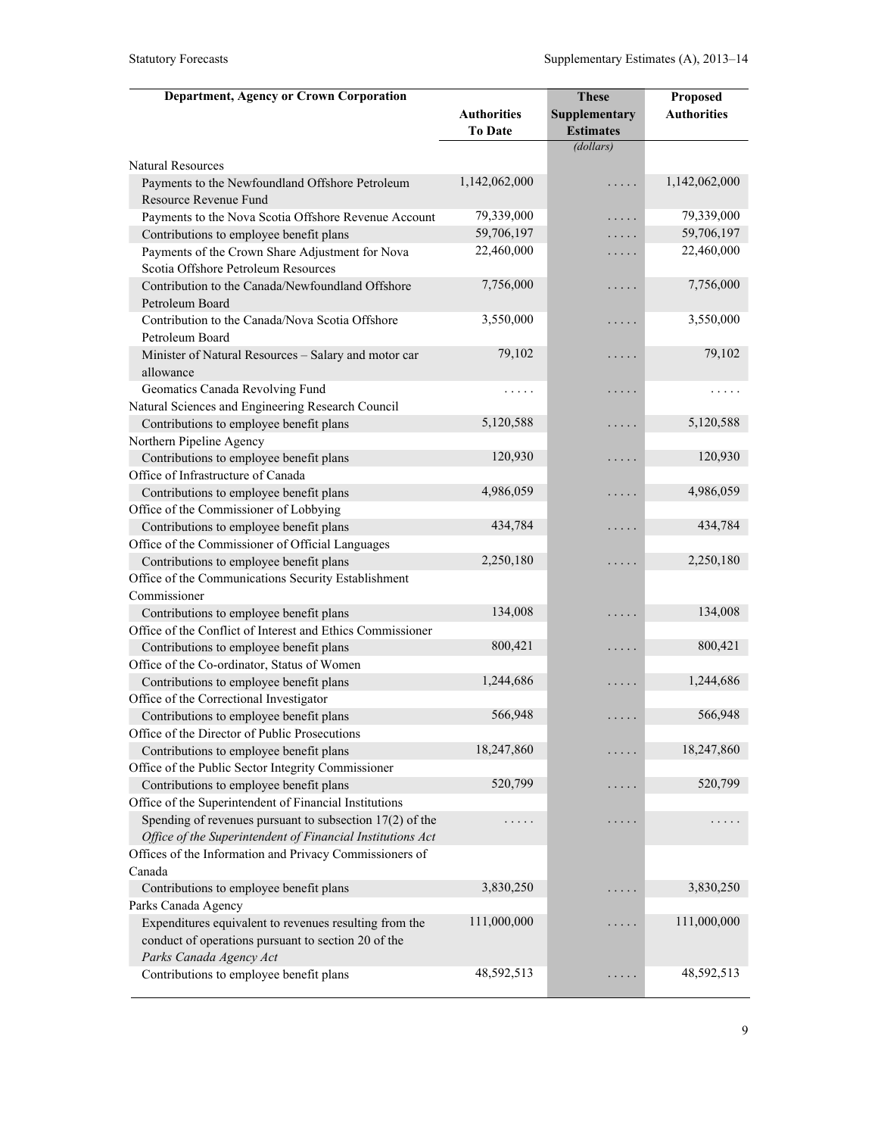| <b>Department, Agency or Crown Corporation</b>             |                    | <b>These</b>     | Proposed           |
|------------------------------------------------------------|--------------------|------------------|--------------------|
|                                                            | <b>Authorities</b> | Supplementary    | <b>Authorities</b> |
|                                                            | <b>To Date</b>     | <b>Estimates</b> |                    |
|                                                            |                    | (dollars)        |                    |
| <b>Natural Resources</b>                                   |                    |                  |                    |
| Payments to the Newfoundland Offshore Petroleum            | 1,142,062,000      | .                | 1,142,062,000      |
| Resource Revenue Fund                                      |                    |                  |                    |
| Payments to the Nova Scotia Offshore Revenue Account       | 79,339,000         | .                | 79,339,000         |
| Contributions to employee benefit plans                    | 59,706,197         | .                | 59,706,197         |
| Payments of the Crown Share Adjustment for Nova            | 22,460,000         | .                | 22,460,000         |
| Scotia Offshore Petroleum Resources                        |                    |                  |                    |
| Contribution to the Canada/Newfoundland Offshore           | 7,756,000          | .                | 7,756,000          |
| Petroleum Board                                            |                    |                  |                    |
| Contribution to the Canada/Nova Scotia Offshore            | 3,550,000          | .                | 3,550,000          |
| Petroleum Board                                            |                    |                  |                    |
| Minister of Natural Resources - Salary and motor car       | 79,102             | .                | 79,102             |
| allowance                                                  |                    |                  |                    |
| Geomatics Canada Revolving Fund                            | .                  | .                | .                  |
| Natural Sciences and Engineering Research Council          |                    |                  |                    |
| Contributions to employee benefit plans                    | 5,120,588          | .                | 5,120,588          |
| Northern Pipeline Agency                                   |                    |                  |                    |
| Contributions to employee benefit plans                    | 120,930            | .                | 120,930            |
| Office of Infrastructure of Canada                         |                    |                  |                    |
| Contributions to employee benefit plans                    | 4,986,059          | .                | 4,986,059          |
| Office of the Commissioner of Lobbying                     |                    |                  |                    |
| Contributions to employee benefit plans                    | 434,784            | .                | 434,784            |
| Office of the Commissioner of Official Languages           |                    |                  |                    |
| Contributions to employee benefit plans                    | 2,250,180          | .                | 2,250,180          |
| Office of the Communications Security Establishment        |                    |                  |                    |
| Commissioner                                               |                    |                  |                    |
| Contributions to employee benefit plans                    | 134,008            | .                | 134,008            |
| Office of the Conflict of Interest and Ethics Commissioner |                    |                  |                    |
| Contributions to employee benefit plans                    | 800,421            | .                | 800,421            |
| Office of the Co-ordinator, Status of Women                |                    |                  |                    |
| Contributions to employee benefit plans                    | 1,244,686          | .                | 1,244,686          |
| Office of the Correctional Investigator                    |                    |                  |                    |
| Contributions to employee benefit plans                    | 566,948            | .                | 566,948            |
| Office of the Director of Public Prosecutions              |                    |                  |                    |
| Contributions to employee benefit plans                    | 18,247,860         |                  | 18,247,860         |
| Office of the Public Sector Integrity Commissioner         |                    |                  |                    |
| Contributions to employee benefit plans                    | 520,799            | .                | 520,799            |
| Office of the Superintendent of Financial Institutions     |                    |                  |                    |
| Spending of revenues pursuant to subsection $17(2)$ of the |                    | $\cdots$         |                    |
| Office of the Superintendent of Financial Institutions Act |                    |                  |                    |
| Offices of the Information and Privacy Commissioners of    |                    |                  |                    |
| Canada                                                     |                    |                  |                    |
| Contributions to employee benefit plans                    | 3,830,250          |                  | 3,830,250          |
| Parks Canada Agency                                        |                    |                  |                    |
| Expenditures equivalent to revenues resulting from the     | 111,000,000        |                  | 111,000,000        |
| conduct of operations pursuant to section 20 of the        |                    |                  |                    |
| Parks Canada Agency Act                                    | 48,592,513         |                  | 48,592,513         |
| Contributions to employee benefit plans                    |                    | $\cdots$         |                    |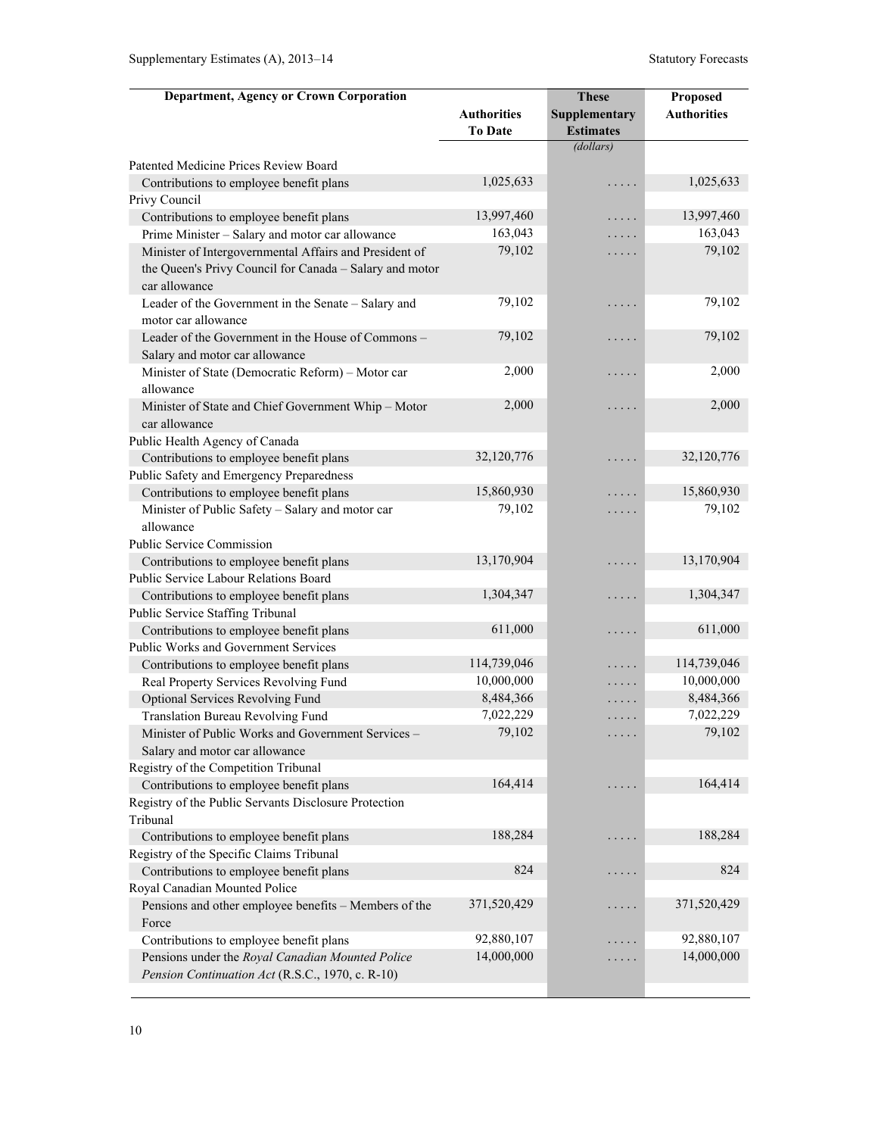| <b>Department, Agency or Crown Corporation</b>          |                      | <b>These</b>         | Proposed             |
|---------------------------------------------------------|----------------------|----------------------|----------------------|
|                                                         | <b>Authorities</b>   | Supplementary        | <b>Authorities</b>   |
|                                                         | <b>To Date</b>       | <b>Estimates</b>     |                      |
|                                                         |                      | (dollars)            |                      |
| Patented Medicine Prices Review Board                   |                      |                      |                      |
| Contributions to employee benefit plans                 | 1,025,633            | .                    | 1,025,633            |
| Privy Council                                           |                      |                      |                      |
| Contributions to employee benefit plans                 | 13,997,460           | .                    | 13,997,460           |
| Prime Minister - Salary and motor car allowance         | 163,043              | .                    | 163,043              |
| Minister of Intergovernmental Affairs and President of  | 79,102               | .                    | 79,102               |
| the Queen's Privy Council for Canada - Salary and motor |                      |                      |                      |
| car allowance                                           |                      |                      |                      |
| Leader of the Government in the Senate - Salary and     | 79,102               | .                    | 79,102               |
| motor car allowance                                     |                      |                      |                      |
| Leader of the Government in the House of Commons -      | 79,102               | .                    | 79,102               |
| Salary and motor car allowance                          |                      |                      |                      |
| Minister of State (Democratic Reform) - Motor car       | 2,000                | .                    | 2,000                |
| allowance                                               |                      |                      |                      |
| Minister of State and Chief Government Whip - Motor     | 2,000                | .                    | 2,000                |
| car allowance                                           |                      |                      |                      |
| Public Health Agency of Canada                          |                      |                      |                      |
| Contributions to employee benefit plans                 | 32,120,776           | .                    | 32,120,776           |
| Public Safety and Emergency Preparedness                |                      |                      |                      |
| Contributions to employee benefit plans                 | 15,860,930<br>79,102 | .                    | 15,860,930<br>79,102 |
| Minister of Public Safety - Salary and motor car        |                      | .                    |                      |
| allowance<br><b>Public Service Commission</b>           |                      |                      |                      |
| Contributions to employee benefit plans                 | 13,170,904           |                      | 13,170,904           |
| Public Service Labour Relations Board                   |                      | .                    |                      |
| Contributions to employee benefit plans                 | 1,304,347            | .                    | 1,304,347            |
| Public Service Staffing Tribunal                        |                      |                      |                      |
| Contributions to employee benefit plans                 | 611,000              | .                    | 611,000              |
| Public Works and Government Services                    |                      |                      |                      |
| Contributions to employee benefit plans                 | 114,739,046          | .                    | 114,739,046          |
| Real Property Services Revolving Fund                   | 10,000,000           | .                    | 10,000,000           |
| Optional Services Revolving Fund                        | 8,484,366            | .                    | 8,484,366            |
| Translation Bureau Revolving Fund                       | 7,022,229            | .                    | 7,022,229            |
| Minister of Public Works and Government Services -      | 79,102               |                      | 79,102               |
| Salary and motor car allowance                          |                      |                      |                      |
| Registry of the Competition Tribunal                    |                      |                      |                      |
| Contributions to employee benefit plans                 | 164,414              | $\ddotsc$            | 164,414              |
| Registry of the Public Servants Disclosure Protection   |                      |                      |                      |
| Tribunal                                                |                      |                      |                      |
| Contributions to employee benefit plans                 | 188,284              | $\sim$ $\sim$ $\sim$ | 188,284              |
| Registry of the Specific Claims Tribunal                |                      |                      |                      |
| Contributions to employee benefit plans                 | 824                  | $\ddotsc$            | 824                  |
| Royal Canadian Mounted Police                           |                      |                      |                      |
| Pensions and other employee benefits - Members of the   | 371,520,429          | $\ddotsc$            | 371,520,429          |
| Force                                                   |                      |                      |                      |
| Contributions to employee benefit plans                 | 92,880,107           | .                    | 92,880,107           |
| Pensions under the Royal Canadian Mounted Police        | 14,000,000           | .                    | 14,000,000           |
| Pension Continuation Act (R.S.C., 1970, c. R-10)        |                      |                      |                      |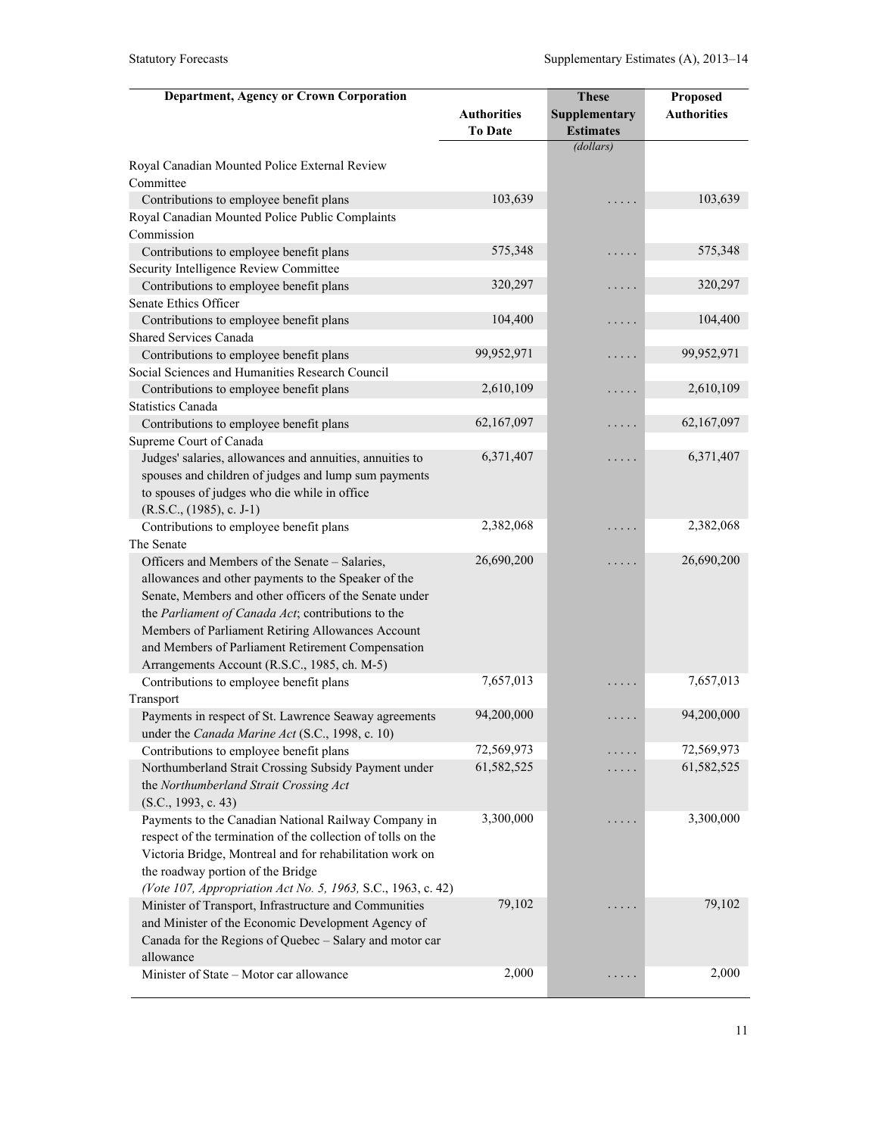| <b>Department, Agency or Crown Corporation</b>               |                    | <b>These</b>     | Proposed           |
|--------------------------------------------------------------|--------------------|------------------|--------------------|
|                                                              | <b>Authorities</b> | Supplementary    | <b>Authorities</b> |
|                                                              | <b>To Date</b>     | <b>Estimates</b> |                    |
|                                                              |                    | (dollars)        |                    |
| Royal Canadian Mounted Police External Review                |                    |                  |                    |
| Committee                                                    |                    |                  |                    |
| Contributions to employee benefit plans                      | 103,639            |                  | 103,639            |
| Royal Canadian Mounted Police Public Complaints              |                    |                  |                    |
| Commission                                                   |                    |                  |                    |
| Contributions to employee benefit plans                      | 575,348            | .                | 575,348            |
| Security Intelligence Review Committee                       |                    |                  |                    |
| Contributions to employee benefit plans                      | 320,297            | .                | 320,297            |
| Senate Ethics Officer                                        |                    |                  |                    |
| Contributions to employee benefit plans                      | 104,400            | .                | 104,400            |
| <b>Shared Services Canada</b>                                |                    |                  |                    |
| Contributions to employee benefit plans                      | 99,952,971         | .                | 99,952,971         |
| Social Sciences and Humanities Research Council              |                    |                  |                    |
| Contributions to employee benefit plans                      | 2,610,109          | .                | 2,610,109          |
| <b>Statistics Canada</b>                                     |                    |                  |                    |
| Contributions to employee benefit plans                      | 62,167,097         | .                | 62,167,097         |
| Supreme Court of Canada                                      |                    |                  |                    |
| Judges' salaries, allowances and annuities, annuities to     | 6,371,407          | .                | 6,371,407          |
| spouses and children of judges and lump sum payments         |                    |                  |                    |
| to spouses of judges who die while in office                 |                    |                  |                    |
| $(R.S.C., (1985), c. J-1)$                                   |                    |                  |                    |
| Contributions to employee benefit plans                      | 2,382,068          | .                | 2,382,068          |
| The Senate                                                   |                    |                  |                    |
| Officers and Members of the Senate - Salaries,               | 26,690,200         | .                | 26,690,200         |
| allowances and other payments to the Speaker of the          |                    |                  |                    |
| Senate, Members and other officers of the Senate under       |                    |                  |                    |
| the Parliament of Canada Act; contributions to the           |                    |                  |                    |
| Members of Parliament Retiring Allowances Account            |                    |                  |                    |
| and Members of Parliament Retirement Compensation            |                    |                  |                    |
| Arrangements Account (R.S.C., 1985, ch. M-5)                 |                    |                  |                    |
| Contributions to employee benefit plans                      | 7,657,013          |                  | 7,657,013          |
| Transport                                                    |                    |                  |                    |
| Payments in respect of St. Lawrence Seaway agreements        | 94,200,000         | .                | 94,200,000         |
| under the Canada Marine Act (S.C., 1998, c. 10)              |                    |                  |                    |
| Contributions to employee benefit plans                      | 72,569,973         |                  | 72,569,973         |
| Northumberland Strait Crossing Subsidy Payment under         | 61,582,525         |                  | 61,582,525         |
| the Northumberland Strait Crossing Act                       |                    |                  |                    |
| (S.C., 1993, c. 43)                                          |                    |                  |                    |
| Payments to the Canadian National Railway Company in         | 3,300,000          | $\cdots$         | 3,300,000          |
| respect of the termination of the collection of tolls on the |                    |                  |                    |
| Victoria Bridge, Montreal and for rehabilitation work on     |                    |                  |                    |
| the roadway portion of the Bridge                            |                    |                  |                    |
| (Vote 107, Appropriation Act No. 5, 1963, S.C., 1963, c. 42) |                    |                  |                    |
| Minister of Transport, Infrastructure and Communities        | 79,102             |                  | 79,102             |
| and Minister of the Economic Development Agency of           |                    |                  |                    |
| Canada for the Regions of Quebec - Salary and motor car      |                    |                  |                    |
| allowance                                                    |                    |                  |                    |
| Minister of State - Motor car allowance                      | 2,000              | $\cdots$         | 2,000              |